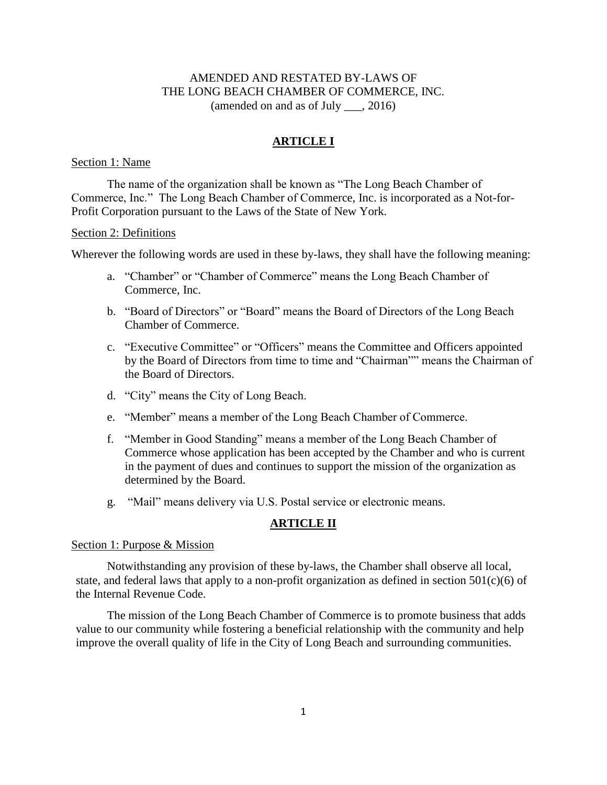# AMENDED AND RESTATED BY-LAWS OF THE LONG BEACH CHAMBER OF COMMERCE, INC. (amended on and as of July \_\_\_, 2016)

# **ARTICLE I**

### Section 1: Name

The name of the organization shall be known as "The Long Beach Chamber of Commerce, Inc." The Long Beach Chamber of Commerce, Inc. is incorporated as a Not-for-Profit Corporation pursuant to the Laws of the State of New York.

#### Section 2: Definitions

Wherever the following words are used in these by-laws, they shall have the following meaning:

- a. "Chamber" or "Chamber of Commerce" means the Long Beach Chamber of Commerce, Inc.
- b. "Board of Directors" or "Board" means the Board of Directors of the Long Beach Chamber of Commerce.
- c. "Executive Committee" or "Officers" means the Committee and Officers appointed by the Board of Directors from time to time and "Chairman"" means the Chairman of the Board of Directors.
- d. "City" means the City of Long Beach.
- e. "Member" means a member of the Long Beach Chamber of Commerce.
- f. "Member in Good Standing" means a member of the Long Beach Chamber of Commerce whose application has been accepted by the Chamber and who is current in the payment of dues and continues to support the mission of the organization as determined by the Board.
- g. "Mail" means delivery via U.S. Postal service or electronic means.

# **ARTICLE II**

#### Section 1: Purpose & Mission

Notwithstanding any provision of these by-laws, the Chamber shall observe all local, state, and federal laws that apply to a non-profit organization as defined in section  $501(c)(6)$  of the Internal Revenue Code.

The mission of the Long Beach Chamber of Commerce is to promote business that adds value to our community while fostering a beneficial relationship with the community and help improve the overall quality of life in the City of Long Beach and surrounding communities.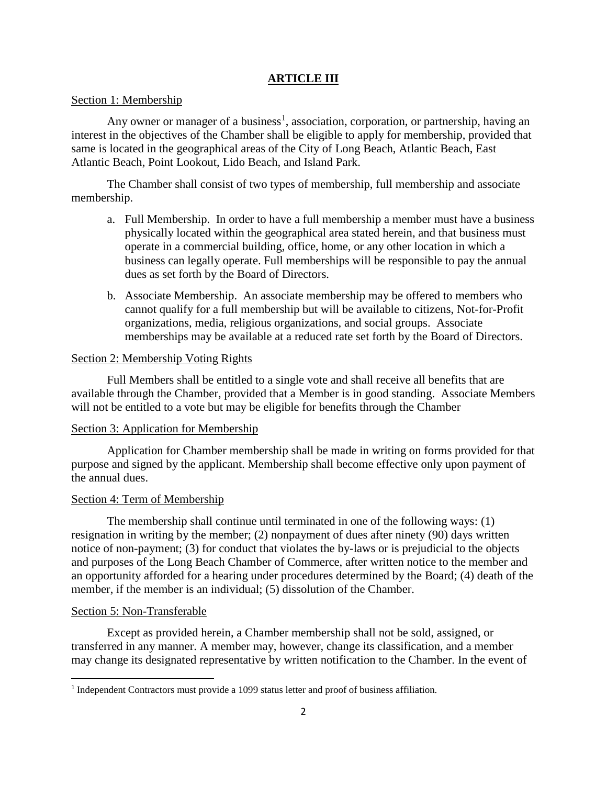# **ARTICLE III**

## Section 1: Membership

Any owner or manager of a business<sup>1</sup>, association, corporation, or partnership, having an interest in the objectives of the Chamber shall be eligible to apply for membership, provided that same is located in the geographical areas of the City of Long Beach, Atlantic Beach, East Atlantic Beach, Point Lookout, Lido Beach, and Island Park.

The Chamber shall consist of two types of membership, full membership and associate membership.

- a. Full Membership. In order to have a full membership a member must have a business physically located within the geographical area stated herein, and that business must operate in a commercial building, office, home, or any other location in which a business can legally operate. Full memberships will be responsible to pay the annual dues as set forth by the Board of Directors.
- b. Associate Membership. An associate membership may be offered to members who cannot qualify for a full membership but will be available to citizens, Not-for-Profit organizations, media, religious organizations, and social groups. Associate memberships may be available at a reduced rate set forth by the Board of Directors.

## Section 2: Membership Voting Rights

Full Members shall be entitled to a single vote and shall receive all benefits that are available through the Chamber, provided that a Member is in good standing. Associate Members will not be entitled to a vote but may be eligible for benefits through the Chamber

### Section 3: Application for Membership

Application for Chamber membership shall be made in writing on forms provided for that purpose and signed by the applicant. Membership shall become effective only upon payment of the annual dues.

## Section 4: Term of Membership

The membership shall continue until terminated in one of the following ways: (1) resignation in writing by the member; (2) nonpayment of dues after ninety (90) days written notice of non-payment; (3) for conduct that violates the by-laws or is prejudicial to the objects and purposes of the Long Beach Chamber of Commerce, after written notice to the member and an opportunity afforded for a hearing under procedures determined by the Board; (4) death of the member, if the member is an individual; (5) dissolution of the Chamber.

## Section 5: Non-Transferable

 $\overline{\phantom{a}}$ 

Except as provided herein, a Chamber membership shall not be sold, assigned, or transferred in any manner. A member may, however, change its classification, and a member may change its designated representative by written notification to the Chamber. In the event of

<sup>&</sup>lt;sup>1</sup> Independent Contractors must provide a 1099 status letter and proof of business affiliation.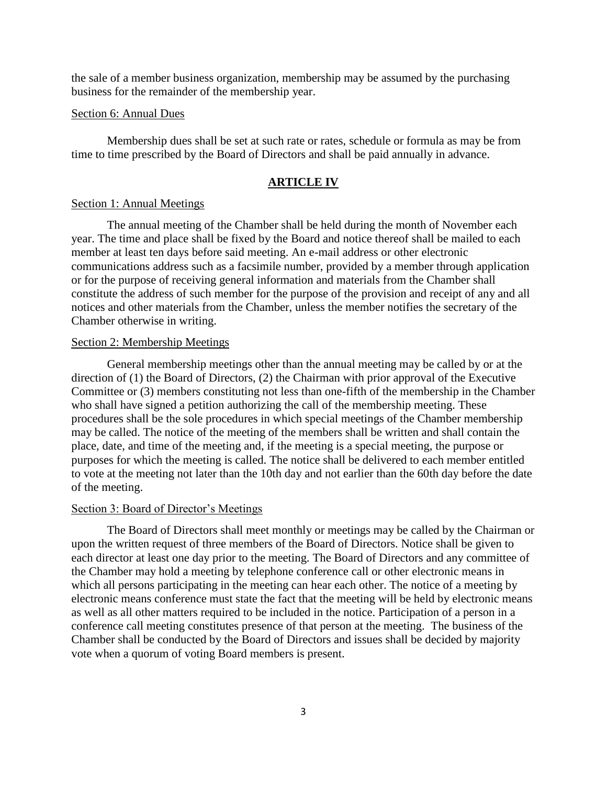the sale of a member business organization, membership may be assumed by the purchasing business for the remainder of the membership year.

### Section 6: Annual Dues

Membership dues shall be set at such rate or rates, schedule or formula as may be from time to time prescribed by the Board of Directors and shall be paid annually in advance.

### **ARTICLE IV**

#### Section 1: Annual Meetings

The annual meeting of the Chamber shall be held during the month of November each year. The time and place shall be fixed by the Board and notice thereof shall be mailed to each member at least ten days before said meeting. An e-mail address or other electronic communications address such as a facsimile number, provided by a member through application or for the purpose of receiving general information and materials from the Chamber shall constitute the address of such member for the purpose of the provision and receipt of any and all notices and other materials from the Chamber, unless the member notifies the secretary of the Chamber otherwise in writing.

### Section 2: Membership Meetings

General membership meetings other than the annual meeting may be called by or at the direction of (1) the Board of Directors, (2) the Chairman with prior approval of the Executive Committee or (3) members constituting not less than one-fifth of the membership in the Chamber who shall have signed a petition authorizing the call of the membership meeting. These procedures shall be the sole procedures in which special meetings of the Chamber membership may be called. The notice of the meeting of the members shall be written and shall contain the place, date, and time of the meeting and, if the meeting is a special meeting, the purpose or purposes for which the meeting is called. The notice shall be delivered to each member entitled to vote at the meeting not later than the 10th day and not earlier than the 60th day before the date of the meeting.

## Section 3: Board of Director's Meetings

The Board of Directors shall meet monthly or meetings may be called by the Chairman or upon the written request of three members of the Board of Directors. Notice shall be given to each director at least one day prior to the meeting. The Board of Directors and any committee of the Chamber may hold a meeting by telephone conference call or other electronic means in which all persons participating in the meeting can hear each other. The notice of a meeting by electronic means conference must state the fact that the meeting will be held by electronic means as well as all other matters required to be included in the notice. Participation of a person in a conference call meeting constitutes presence of that person at the meeting. The business of the Chamber shall be conducted by the Board of Directors and issues shall be decided by majority vote when a quorum of voting Board members is present.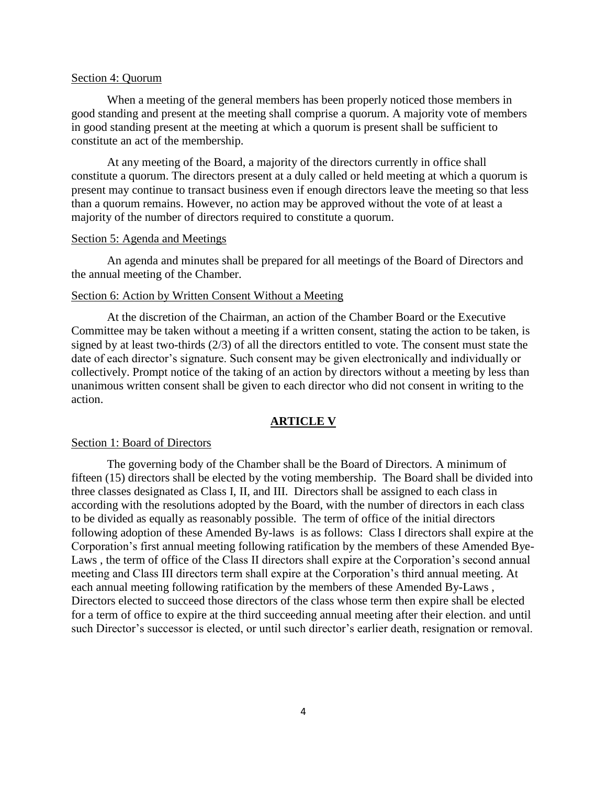### Section 4: Quorum

When a meeting of the general members has been properly noticed those members in good standing and present at the meeting shall comprise a quorum. A majority vote of members in good standing present at the meeting at which a quorum is present shall be sufficient to constitute an act of the membership.

At any meeting of the Board, a majority of the directors currently in office shall constitute a quorum. The directors present at a duly called or held meeting at which a quorum is present may continue to transact business even if enough directors leave the meeting so that less than a quorum remains. However, no action may be approved without the vote of at least a majority of the number of directors required to constitute a quorum.

#### Section 5: Agenda and Meetings

An agenda and minutes shall be prepared for all meetings of the Board of Directors and the annual meeting of the Chamber.

### Section 6: Action by Written Consent Without a Meeting

At the discretion of the Chairman, an action of the Chamber Board or the Executive Committee may be taken without a meeting if a written consent, stating the action to be taken, is signed by at least two-thirds (2/3) of all the directors entitled to vote. The consent must state the date of each director's signature. Such consent may be given electronically and individually or collectively. Prompt notice of the taking of an action by directors without a meeting by less than unanimous written consent shall be given to each director who did not consent in writing to the action.

## **ARTICLE V**

### Section 1: Board of Directors

The governing body of the Chamber shall be the Board of Directors. A minimum of fifteen (15) directors shall be elected by the voting membership. The Board shall be divided into three classes designated as Class I, II, and III. Directors shall be assigned to each class in according with the resolutions adopted by the Board, with the number of directors in each class to be divided as equally as reasonably possible. The term of office of the initial directors following adoption of these Amended By-laws is as follows: Class I directors shall expire at the Corporation's first annual meeting following ratification by the members of these Amended Bye-Laws , the term of office of the Class II directors shall expire at the Corporation's second annual meeting and Class III directors term shall expire at the Corporation's third annual meeting. At each annual meeting following ratification by the members of these Amended By-Laws , Directors elected to succeed those directors of the class whose term then expire shall be elected for a term of office to expire at the third succeeding annual meeting after their election. and until such Director's successor is elected, or until such director's earlier death, resignation or removal.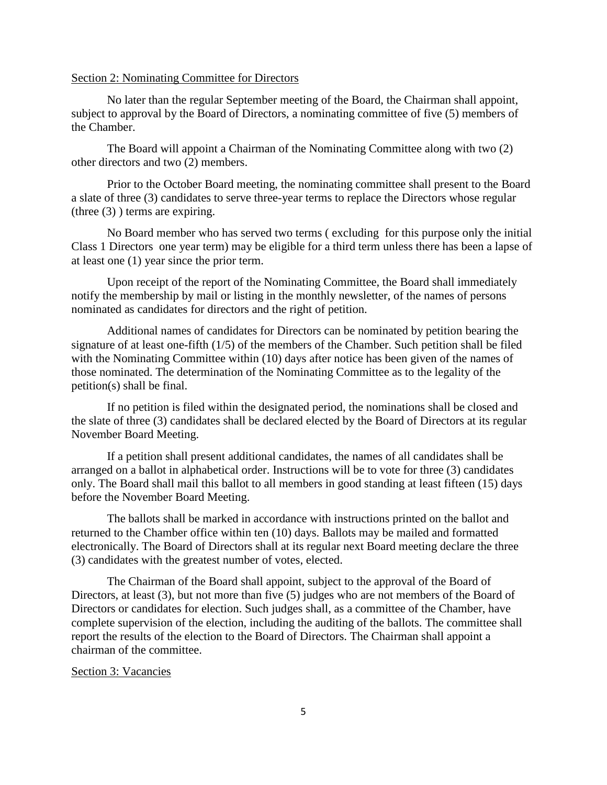### Section 2: Nominating Committee for Directors

No later than the regular September meeting of the Board, the Chairman shall appoint, subject to approval by the Board of Directors, a nominating committee of five (5) members of the Chamber.

The Board will appoint a Chairman of the Nominating Committee along with two (2) other directors and two (2) members.

Prior to the October Board meeting, the nominating committee shall present to the Board a slate of three (3) candidates to serve three-year terms to replace the Directors whose regular (three (3) ) terms are expiring.

No Board member who has served two terms ( excluding for this purpose only the initial Class 1 Directors one year term) may be eligible for a third term unless there has been a lapse of at least one (1) year since the prior term.

Upon receipt of the report of the Nominating Committee, the Board shall immediately notify the membership by mail or listing in the monthly newsletter, of the names of persons nominated as candidates for directors and the right of petition.

Additional names of candidates for Directors can be nominated by petition bearing the signature of at least one-fifth (1/5) of the members of the Chamber. Such petition shall be filed with the Nominating Committee within (10) days after notice has been given of the names of those nominated. The determination of the Nominating Committee as to the legality of the petition(s) shall be final.

If no petition is filed within the designated period, the nominations shall be closed and the slate of three (3) candidates shall be declared elected by the Board of Directors at its regular November Board Meeting.

If a petition shall present additional candidates, the names of all candidates shall be arranged on a ballot in alphabetical order. Instructions will be to vote for three (3) candidates only. The Board shall mail this ballot to all members in good standing at least fifteen (15) days before the November Board Meeting.

The ballots shall be marked in accordance with instructions printed on the ballot and returned to the Chamber office within ten (10) days. Ballots may be mailed and formatted electronically. The Board of Directors shall at its regular next Board meeting declare the three (3) candidates with the greatest number of votes, elected.

The Chairman of the Board shall appoint, subject to the approval of the Board of Directors, at least (3), but not more than five (5) judges who are not members of the Board of Directors or candidates for election. Such judges shall, as a committee of the Chamber, have complete supervision of the election, including the auditing of the ballots. The committee shall report the results of the election to the Board of Directors. The Chairman shall appoint a chairman of the committee.

### Section 3: Vacancies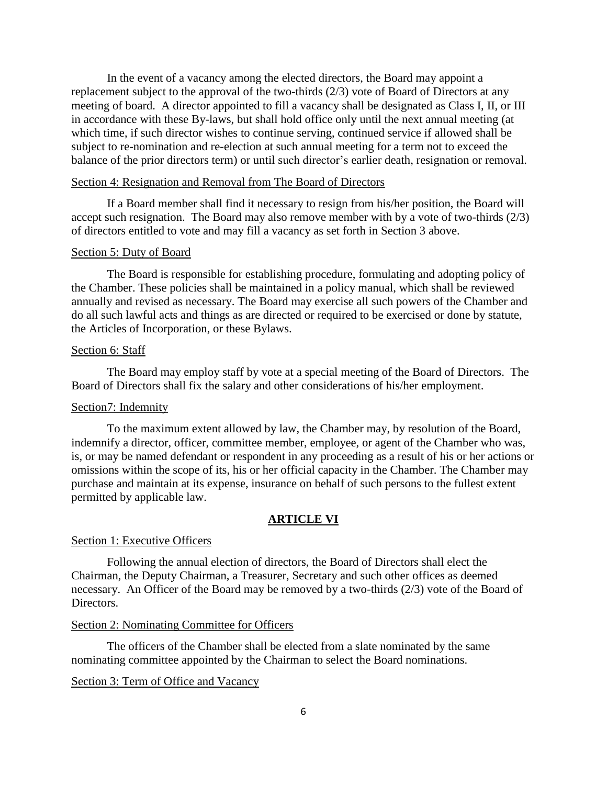In the event of a vacancy among the elected directors, the Board may appoint a replacement subject to the approval of the two-thirds (2/3) vote of Board of Directors at any meeting of board. A director appointed to fill a vacancy shall be designated as Class I, II, or III in accordance with these By-laws, but shall hold office only until the next annual meeting (at which time, if such director wishes to continue serving, continued service if allowed shall be subject to re-nomination and re-election at such annual meeting for a term not to exceed the balance of the prior directors term) or until such director's earlier death, resignation or removal.

## Section 4: Resignation and Removal from The Board of Directors

If a Board member shall find it necessary to resign from his/her position, the Board will accept such resignation. The Board may also remove member with by a vote of two-thirds (2/3) of directors entitled to vote and may fill a vacancy as set forth in Section 3 above.

### Section 5: Duty of Board

The Board is responsible for establishing procedure, formulating and adopting policy of the Chamber. These policies shall be maintained in a policy manual, which shall be reviewed annually and revised as necessary. The Board may exercise all such powers of the Chamber and do all such lawful acts and things as are directed or required to be exercised or done by statute, the Articles of Incorporation, or these Bylaws.

### Section 6: Staff

The Board may employ staff by vote at a special meeting of the Board of Directors. The Board of Directors shall fix the salary and other considerations of his/her employment.

## Section7: Indemnity

To the maximum extent allowed by law, the Chamber may, by resolution of the Board, indemnify a director, officer, committee member, employee, or agent of the Chamber who was, is, or may be named defendant or respondent in any proceeding as a result of his or her actions or omissions within the scope of its, his or her official capacity in the Chamber. The Chamber may purchase and maintain at its expense, insurance on behalf of such persons to the fullest extent permitted by applicable law.

## **ARTICLE VI**

### Section 1: Executive Officers

Following the annual election of directors, the Board of Directors shall elect the Chairman, the Deputy Chairman, a Treasurer, Secretary and such other offices as deemed necessary. An Officer of the Board may be removed by a two-thirds (2/3) vote of the Board of Directors.

#### Section 2: Nominating Committee for Officers

The officers of the Chamber shall be elected from a slate nominated by the same nominating committee appointed by the Chairman to select the Board nominations.

## Section 3: Term of Office and Vacancy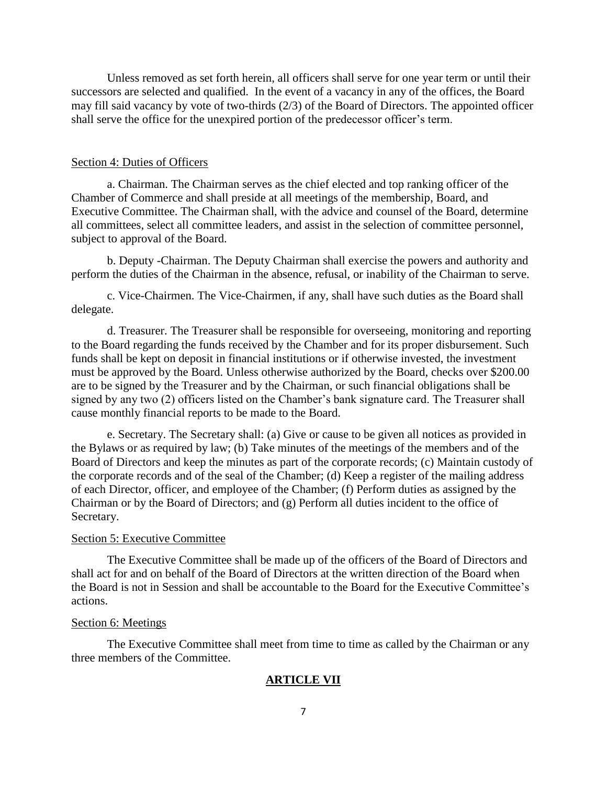Unless removed as set forth herein, all officers shall serve for one year term or until their successors are selected and qualified. In the event of a vacancy in any of the offices, the Board may fill said vacancy by vote of two-thirds (2/3) of the Board of Directors. The appointed officer shall serve the office for the unexpired portion of the predecessor officer's term.

#### Section 4: Duties of Officers

a. Chairman. The Chairman serves as the chief elected and top ranking officer of the Chamber of Commerce and shall preside at all meetings of the membership, Board, and Executive Committee. The Chairman shall, with the advice and counsel of the Board, determine all committees, select all committee leaders, and assist in the selection of committee personnel, subject to approval of the Board.

b. Deputy -Chairman. The Deputy Chairman shall exercise the powers and authority and perform the duties of the Chairman in the absence, refusal, or inability of the Chairman to serve.

c. Vice-Chairmen. The Vice-Chairmen, if any, shall have such duties as the Board shall delegate.

d. Treasurer. The Treasurer shall be responsible for overseeing, monitoring and reporting to the Board regarding the funds received by the Chamber and for its proper disbursement. Such funds shall be kept on deposit in financial institutions or if otherwise invested, the investment must be approved by the Board. Unless otherwise authorized by the Board, checks over \$200.00 are to be signed by the Treasurer and by the Chairman, or such financial obligations shall be signed by any two (2) officers listed on the Chamber's bank signature card. The Treasurer shall cause monthly financial reports to be made to the Board.

e. Secretary. The Secretary shall: (a) Give or cause to be given all notices as provided in the Bylaws or as required by law; (b) Take minutes of the meetings of the members and of the Board of Directors and keep the minutes as part of the corporate records; (c) Maintain custody of the corporate records and of the seal of the Chamber; (d) Keep a register of the mailing address of each Director, officer, and employee of the Chamber; (f) Perform duties as assigned by the Chairman or by the Board of Directors; and (g) Perform all duties incident to the office of Secretary.

## Section 5: Executive Committee

The Executive Committee shall be made up of the officers of the Board of Directors and shall act for and on behalf of the Board of Directors at the written direction of the Board when the Board is not in Session and shall be accountable to the Board for the Executive Committee's actions.

#### Section 6: Meetings

The Executive Committee shall meet from time to time as called by the Chairman or any three members of the Committee.

#### **ARTICLE VII**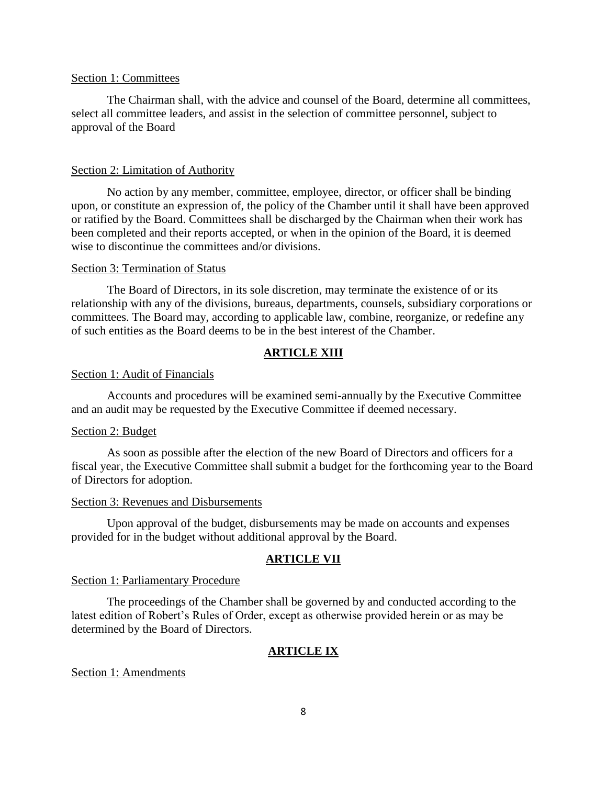### Section 1: Committees

The Chairman shall, with the advice and counsel of the Board, determine all committees, select all committee leaders, and assist in the selection of committee personnel, subject to approval of the Board

#### Section 2: Limitation of Authority

No action by any member, committee, employee, director, or officer shall be binding upon, or constitute an expression of, the policy of the Chamber until it shall have been approved or ratified by the Board. Committees shall be discharged by the Chairman when their work has been completed and their reports accepted, or when in the opinion of the Board, it is deemed wise to discontinue the committees and/or divisions.

#### Section 3: Termination of Status

The Board of Directors, in its sole discretion, may terminate the existence of or its relationship with any of the divisions, bureaus, departments, counsels, subsidiary corporations or committees. The Board may, according to applicable law, combine, reorganize, or redefine any of such entities as the Board deems to be in the best interest of the Chamber.

#### **ARTICLE XIII**

### Section 1: Audit of Financials

Accounts and procedures will be examined semi-annually by the Executive Committee and an audit may be requested by the Executive Committee if deemed necessary.

#### Section 2: Budget

As soon as possible after the election of the new Board of Directors and officers for a fiscal year, the Executive Committee shall submit a budget for the forthcoming year to the Board of Directors for adoption.

#### Section 3: Revenues and Disbursements

Upon approval of the budget, disbursements may be made on accounts and expenses provided for in the budget without additional approval by the Board.

#### **ARTICLE VII**

#### Section 1: Parliamentary Procedure

The proceedings of the Chamber shall be governed by and conducted according to the latest edition of Robert's Rules of Order, except as otherwise provided herein or as may be determined by the Board of Directors.

### **ARTICLE IX**

Section 1: Amendments